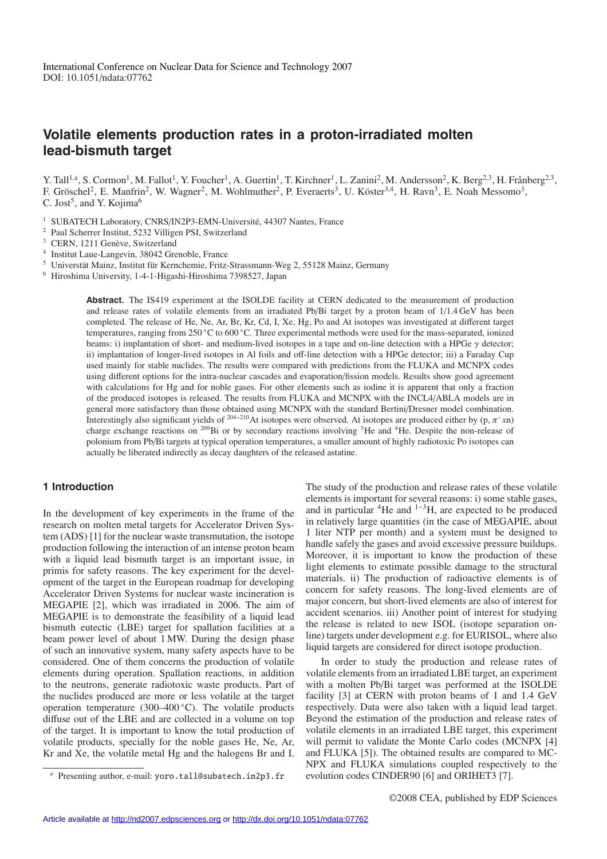# **Volatile elements production rates in a proton-irradiated molten lead-bismuth target**

Y. Tall<sup>1,a</sup>, S. Cormon<sup>1</sup>, M. Fallot<sup>1</sup>, Y. Foucher<sup>1</sup>, A. Guertin<sup>1</sup>, T. Kirchner<sup>1</sup>, L. Zanini<sup>2</sup>, M. Andersson<sup>2</sup>, K. Berg<sup>2,3</sup>, H. Frånberg<sup>2,3</sup>, F. Gröschel<sup>2</sup>, E. Manfrin<sup>2</sup>, W. Wagner<sup>2</sup>, M. Wohlmuther<sup>2</sup>, P. Everaerts<sup>3</sup>, U. Köster<sup>3,4</sup>, H. Ravn<sup>3</sup>, E. Noah Messomo<sup>3</sup>, C. Jost<sup>5</sup>, and Y. Kojima<sup>6</sup>

- <sup>1</sup> SUBATECH Laboratory, CNRS/IN2P3-EMN-Université, 44307 Nantes, France
- <sup>2</sup> Paul Scherrer Institut, 5232 Villigen PSI, Switzerland
- <sup>3</sup> CERN, 1211 Genève, Switzerland
- <sup>4</sup> Institut Laue-Langevin, 38042 Grenoble, France
- <sup>5</sup> Universtät Mainz, Institut für Kernchemie, Fritz-Strassmann-Weg 2, 55128 Mainz, Germany
- <sup>6</sup> Hiroshima University, 1-4-1-Higashi-Hiroshima 7398527, Japan

**Abstract.** The IS419 experiment at the ISOLDE facility at CERN dedicated to the measurement of production and release rates of volatile elements from an irradiated Pb/Bi target by a proton beam of 1/1.4 GeV has been completed. The release of He, Ne, Ar, Br, Kr, Cd, I, Xe, Hg, Po and At isotopes was investigated at different target temperatures, ranging from 250 ◦C to 600 ◦C. Three experimental methods were used for the mass-separated, ionized beams: i) implantation of short- and medium-lived isotopes in a tape and on-line detection with a HPGe  $\gamma$  detector; ii) implantation of longer-lived isotopes in Al foils and off-line detection with a HPGe detector; iii) a Faraday Cup used mainly for stable nuclides. The results were compared with predictions from the FLUKA and MCNPX codes using different options for the intra-nuclear cascades and evaporation/fission models. Results show good agreement with calculations for Hg and for noble gases. For other elements such as iodine it is apparent that only a fraction of the produced isotopes is released. The results from FLUKA and MCNPX with the INCL4/ABLA models are in general more satisfactory than those obtained using MCNPX with the standard Bertini/Dresner model combination. Interestingly also significant yields of <sup>204</sup>−210At isotopes were observed. At isotopes are produced either by (p, π−*x*n) charge exchange reactions on <sup>209</sup>Bi or by secondary reactions involving <sup>3</sup>He and <sup>4</sup>He. Despite the non-release of polonium from Pb/Bi targets at typical operation temperatures, a smaller amount of highly radiotoxic Po isotopes can actually be liberated indirectly as decay daughters of the released astatine.

## **1 Introduction**

In the development of key experiments in the frame of the research on molten metal targets for Accelerator Driven System (ADS) [1] for the nuclear waste transmutation, the isotope production following the interaction of an intense proton beam with a liquid lead bismuth target is an important issue, in primis for safety reasons. The key experiment for the development of the target in the European roadmap for developing Accelerator Driven Systems for nuclear waste incineration is MEGAPIE [2], which was irradiated in 2006. The aim of MEGAPIE is to demonstrate the feasibility of a liquid lead bismuth eutectic (LBE) target for spallation facilities at a beam power level of about 1 MW. During the design phase of such an innovative system, many safety aspects have to be considered. One of them concerns the production of volatile elements during operation. Spallation reactions, in addition to the neutrons, generate radiotoxic waste products. Part of the nuclides produced are more or less volatile at the target operation temperature (300–400 ◦C). The volatile products diffuse out of the LBE and are collected in a volume on top of the target. It is important to know the total production of volatile products, specially for the noble gases He, Ne, Ar, Kr and Xe, the volatile metal Hg and the halogens Br and I.

The study of the production and release rates of these volatile elements is important for several reasons: i) some stable gases, and in particular  ${}^{4}$ He and  ${}^{1-3}$ H, are expected to be produced in relatively large quantities (in the case of MEGAPIE, about 1 liter NTP per month) and a system must be designed to handle safely the gases and avoid excessive pressure buildups. Moreover, it is important to know the production of these light elements to estimate possible damage to the structural materials. ii) The production of radioactive elements is of concern for safety reasons. The long-lived elements are of major concern, but short-lived elements are also of interest for accident scenarios. iii) Another point of interest for studying the release is related to new ISOL (isotope separation online) targets under development e.g. for EURISOL, where also liquid targets are considered for direct isotope production.

In order to study the production and release rates of volatile elements from an irradiated LBE target, an experiment with a molten Pb/Bi target was performed at the ISOLDE facility [3] at CERN with proton beams of 1 and 1.4 GeV respectively. Data were also taken with a liquid lead target. Beyond the estimation of the production and release rates of volatile elements in an irradiated LBE target, this experiment will permit to validate the Monte Carlo codes (MCNPX [4] and FLUKA [5]). The obtained results are compared to MC-NPX and FLUKA simulations coupled respectively to the evolution codes CINDER90 [6] and ORIHET3 [7].

Presenting author, e-mail: yoro.tall@subatech.in2p3.fr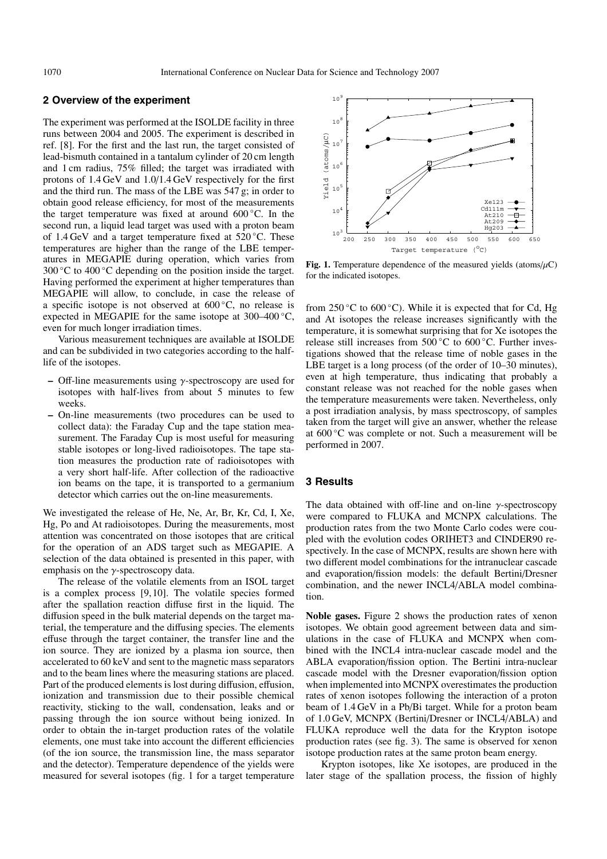### **2 Overview of the experiment**

The experiment was performed at the ISOLDE facility in three runs between 2004 and 2005. The experiment is described in ref. [8]. For the first and the last run, the target consisted of lead-bismuth contained in a tantalum cylinder of 20 cm length and 1 cm radius, 75% filled; the target was irradiated with protons of 1.4 GeV and 1.0/1.4 GeV respectively for the first and the third run. The mass of the LBE was 547 g; in order to obtain good release efficiency, for most of the measurements the target temperature was fixed at around 600 ◦C. In the second run, a liquid lead target was used with a proton beam of 1.4 GeV and a target temperature fixed at  $520^{\circ}$ C. These temperatures are higher than the range of the LBE temperatures in MEGAPIE during operation, which varies from 300  $\degree$ C to 400  $\degree$ C depending on the position inside the target. Having performed the experiment at higher temperatures than MEGAPIE will allow, to conclude, in case the release of a specific isotope is not observed at  $600\degree C$ , no release is expected in MEGAPIE for the same isotope at 300–400 ◦C, even for much longer irradiation times.

Various measurement techniques are available at ISOLDE and can be subdivided in two categories according to the halflife of the isotopes.

- **–** Off-line measurements using γ-spectroscopy are used for isotopes with half-lives from about 5 minutes to few weeks.
- **–** On-line measurements (two procedures can be used to collect data): the Faraday Cup and the tape station measurement. The Faraday Cup is most useful for measuring stable isotopes or long-lived radioisotopes. The tape station measures the production rate of radioisotopes with a very short half-life. After collection of the radioactive ion beams on the tape, it is transported to a germanium detector which carries out the on-line measurements.

We investigated the release of He, Ne, Ar, Br, Kr, Cd, I, Xe, Hg, Po and At radioisotopes. During the measurements, most attention was concentrated on those isotopes that are critical for the operation of an ADS target such as MEGAPIE. A selection of the data obtained is presented in this paper, with emphasis on the  $\gamma$ -spectroscopy data.

The release of the volatile elements from an ISOL target is a complex process [9, 10]. The volatile species formed after the spallation reaction diffuse first in the liquid. The diffusion speed in the bulk material depends on the target material, the temperature and the diffusing species. The elements effuse through the target container, the transfer line and the ion source. They are ionized by a plasma ion source, then accelerated to 60 keV and sent to the magnetic mass separators and to the beam lines where the measuring stations are placed. Part of the produced elements is lost during diffusion, effusion, ionization and transmission due to their possible chemical reactivity, sticking to the wall, condensation, leaks and or passing through the ion source without being ionized. In order to obtain the in-target production rates of the volatile elements, one must take into account the different efficiencies (of the ion source, the transmission line, the mass separator and the detector). Temperature dependence of the yields were measured for several isotopes (fig. 1 for a target temperature



**Fig. 1.** Temperature dependence of the measured yields (atoms/ $\mu$ C) for the indicated isotopes.

from 250 °C to 600 °C). While it is expected that for Cd, Hg and At isotopes the release increases significantly with the temperature, it is somewhat surprising that for Xe isotopes the release still increases from 500 ◦C to 600 ◦C. Further investigations showed that the release time of noble gases in the LBE target is a long process (of the order of 10–30 minutes), even at high temperature, thus indicating that probably a constant release was not reached for the noble gases when the temperature measurements were taken. Nevertheless, only a post irradiation analysis, by mass spectroscopy, of samples taken from the target will give an answer, whether the release at 600 ◦C was complete or not. Such a measurement will be performed in 2007.

### **3 Results**

The data obtained with off-line and on-line  $\gamma$ -spectroscopy were compared to FLUKA and MCNPX calculations. The production rates from the two Monte Carlo codes were coupled with the evolution codes ORIHET3 and CINDER90 respectively. In the case of MCNPX, results are shown here with two different model combinations for the intranuclear cascade and evaporation/fission models: the default Bertini/Dresner combination, and the newer INCL4/ABLA model combination.

**Noble gases.** Figure 2 shows the production rates of xenon isotopes. We obtain good agreement between data and simulations in the case of FLUKA and MCNPX when combined with the INCL4 intra-nuclear cascade model and the ABLA evaporation/fission option. The Bertini intra-nuclear cascade model with the Dresner evaporation/fission option when implemented into MCNPX overestimates the production rates of xenon isotopes following the interaction of a proton beam of 1.4 GeV in a Pb/Bi target. While for a proton beam of 1.0 GeV, MCNPX (Bertini/Dresner or INCL4/ABLA) and FLUKA reproduce well the data for the Krypton isotope production rates (see fig. 3). The same is observed for xenon isotope production rates at the same proton beam energy.

Krypton isotopes, like Xe isotopes, are produced in the later stage of the spallation process, the fission of highly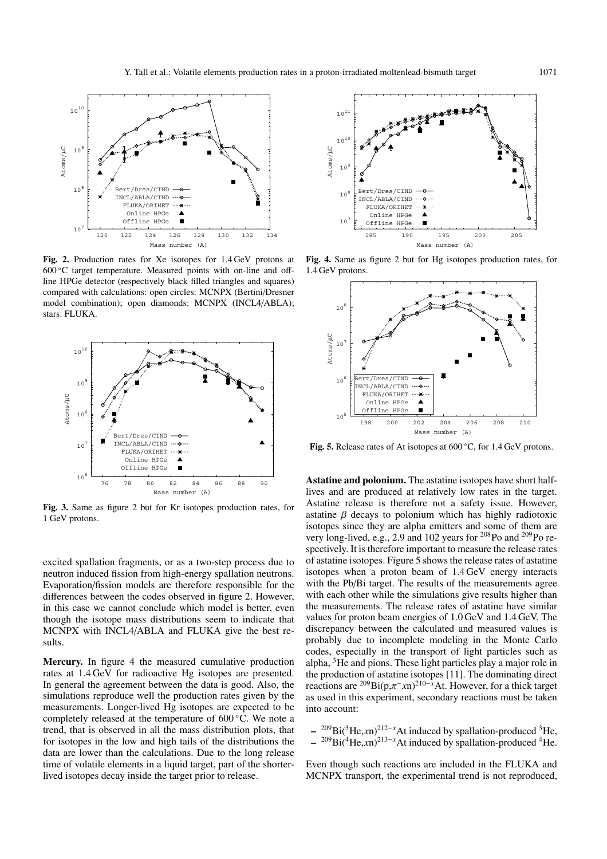

**Fig. 2.** Production rates for Xe isotopes for 1.4 GeV protons at 600 ◦C target temperature. Measured points with on-line and offline HPGe detector (respectively black filled triangles and squares) compared with calculations: open circles: MCNPX (Bertini/Dresner model combination); open diamonds: MCNPX (INCL4/ABLA); stars: FLUKA.



**Fig. 3.** Same as figure 2 but for Kr isotopes production rates, for 1 GeV protons.

excited spallation fragments, or as a two-step process due to neutron induced fission from high-energy spallation neutrons. Evaporation/fission models are therefore responsible for the differences between the codes observed in figure 2. However, in this case we cannot conclude which model is better, even though the isotope mass distributions seem to indicate that MCNPX with INCL4/ABLA and FLUKA give the best results.

**Mercury.** In figure 4 the measured cumulative production rates at 1.4 GeV for radioactive Hg isotopes are presented. In general the agreement between the data is good. Also, the simulations reproduce well the production rates given by the measurements. Longer-lived Hg isotopes are expected to be completely released at the temperature of 600 ◦C. We note a trend, that is observed in all the mass distribution plots, that for isotopes in the low and high tails of the distributions the data are lower than the calculations. Due to the long release time of volatile elements in a liquid target, part of the shorterlived isotopes decay inside the target prior to release.



**Fig. 4.** Same as figure 2 but for Hg isotopes production rates, for 1.4 GeV protons.



**Fig. 5.** Release rates of At isotopes at 600 ◦C, for 1.4 GeV protons.

**Astatine and polonium.** The astatine isotopes have short halflives and are produced at relatively low rates in the target. Astatine release is therefore not a safety issue. However, astatine  $\beta$  decays to polonium which has highly radiotoxic isotopes since they are alpha emitters and some of them are very long-lived, e.g., 2.9 and 102 years for <sup>208</sup>Po and <sup>209</sup>Po respectively. It is therefore important to measure the release rates of astatine isotopes. Figure 5 shows the release rates of astatine isotopes when a proton beam of 1.4 GeV energy interacts with the Pb/Bi target. The results of the measurements agree with each other while the simulations give results higher than the measurements. The release rates of astatine have similar values for proton beam energies of 1.0 GeV and 1.4 GeV. The discrepancy between the calculated and measured values is probably due to incomplete modeling in the Monte Carlo codes, especially in the transport of light particles such as alpha, 3He and pions. These light particles play a major role in the production of astatine isotopes [11]. The dominating direct reactions are  $^{209}Bi(p,\pi^{-}xn)^{210-x}$ At. However, for a thick target as used in this experiment, secondary reactions must be taken into account:

<sup>209</sup>Bi(<sup>3</sup>He,*x*n)<sup>212−*x*</sup>At induced by spallation-produced <sup>3</sup>He, **–** 209Bi(4He,*x*n)<sup>213</sup>−*<sup>x</sup>*At induced by spallation-produced 4He.

Even though such reactions are included in the FLUKA and MCNPX transport, the experimental trend is not reproduced,